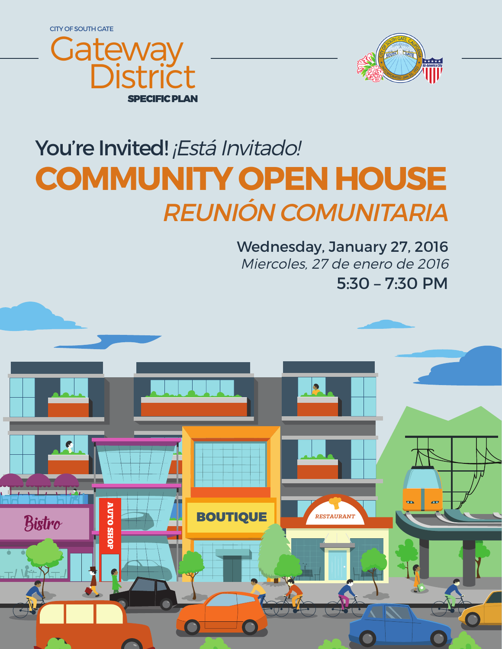CITY OF SOUTH GATE





# You're Invited! ¡Está Invitado! **COMMUNITY OPEN HOUSE** REUNIÓN COMUNITARIA

5:30 – 7:30 PM Wednesday, January 27, 2016 Miercoles, 27 de enero de 2016